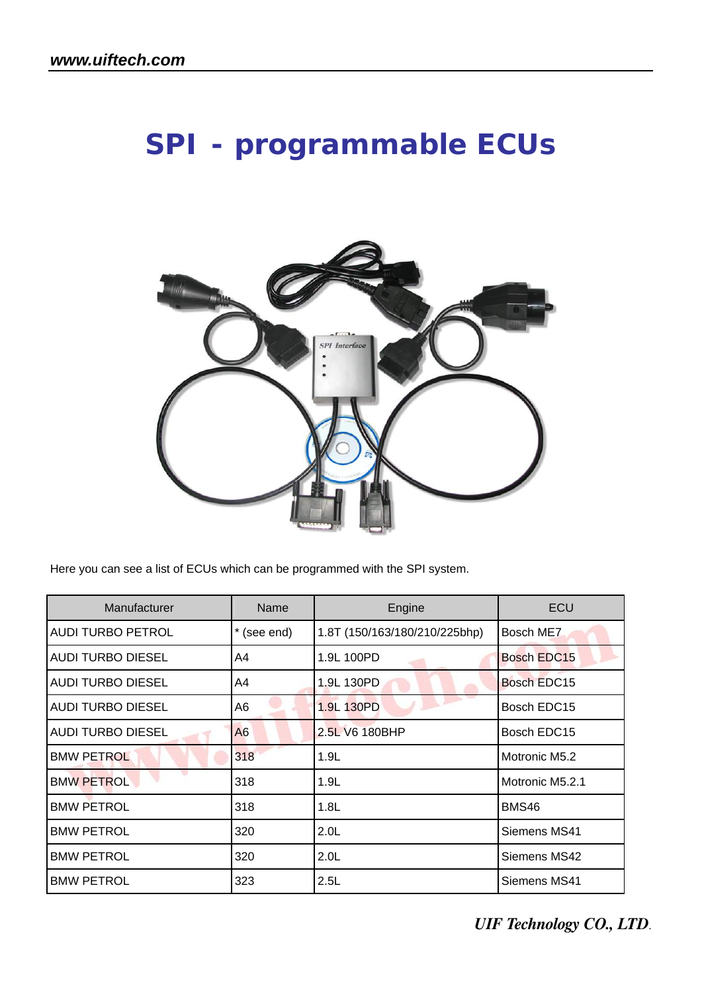# **SPI - programmable ECUs**



Here you can see a list of ECUs which can be programmed with the SPI system.

| Manufacturer             | Name           | Engine                        | <b>ECU</b>         |
|--------------------------|----------------|-------------------------------|--------------------|
| <b>AUDI TURBO PETROL</b> | * (see end)    | 1.8T (150/163/180/210/225bhp) | Bosch ME7          |
| <b>AUDI TURBO DIESEL</b> | A4             | 1.9L 100PD                    | <b>Bosch EDC15</b> |
| <b>AUDI TURBO DIESEL</b> | A4             | 1.9L 130PD                    | <b>Bosch EDC15</b> |
| <b>AUDI TURBO DIESEL</b> | A <sub>6</sub> | 1.9L 130PD                    | Bosch EDC15        |
| <b>AUDI TURBO DIESEL</b> | A <sub>6</sub> | 2.5L V6 180BHP                | Bosch EDC15        |
| <b>BMW PETROL</b>        | 318            | 1.9L                          | Motronic M5.2      |
| <b>BMW PETROL</b>        | 318            | 1.9L                          | Motronic M5.2.1    |
| <b>BMW PETROL</b>        | 318            | 1.8L                          | BMS46              |
| <b>BMW PETROL</b>        | 320            | 2.0 <sub>L</sub>              | Siemens MS41       |
| <b>BMW PETROL</b>        | 320            | 2.0 <sub>L</sub>              | Siemens MS42       |
| <b>BMW PETROL</b>        | 323            | 2.5L                          | Siemens MS41       |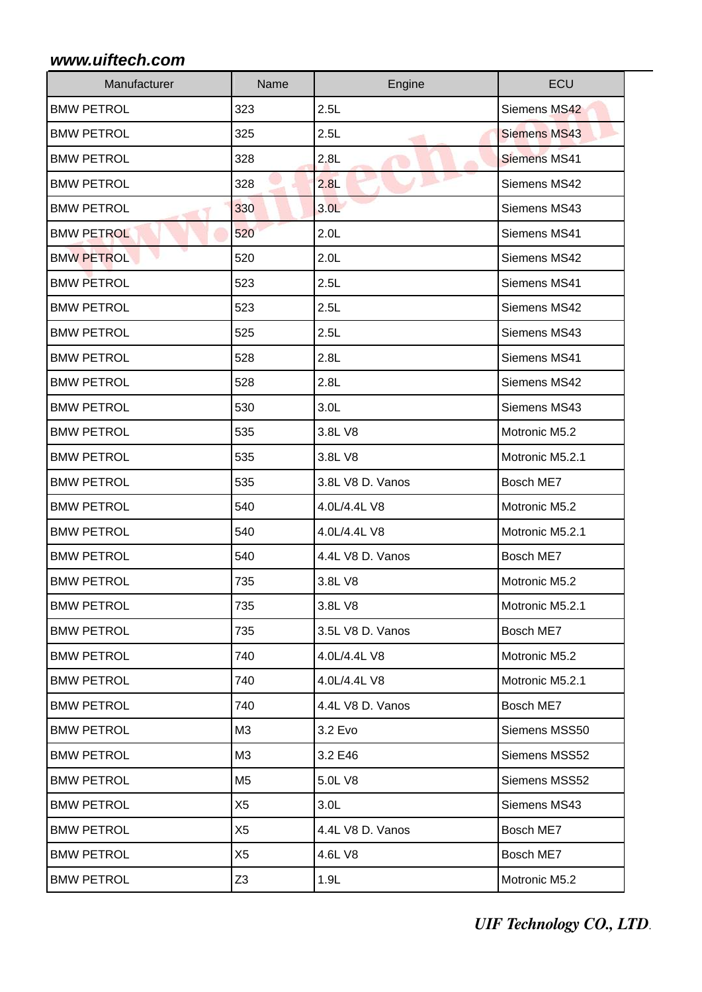| Manufacturer      | Name           | Engine           | ECU                 |
|-------------------|----------------|------------------|---------------------|
| <b>BMW PETROL</b> | 323            | 2.5L             | Siemens MS42        |
| <b>BMW PETROL</b> | 325            | 2.5L             | <b>Siemens MS43</b> |
| <b>BMW PETROL</b> | 328            | 2.8L             | <b>Siemens MS41</b> |
| <b>BMW PETROL</b> | 328            | 2.8L             | Siemens MS42        |
| <b>BMW PETROL</b> | 330            | 3.0 <sub>L</sub> | Siemens MS43        |
| <b>BMW PETROL</b> | 520            | 2.0 <sub>L</sub> | Siemens MS41        |
| <b>BMW PETROL</b> | 520            | 2.0 <sub>L</sub> | Siemens MS42        |
| <b>BMW PETROL</b> | 523            | 2.5L             | Siemens MS41        |
| <b>BMW PETROL</b> | 523            | 2.5L             | Siemens MS42        |
| <b>BMW PETROL</b> | 525            | 2.5L             | Siemens MS43        |
| <b>BMW PETROL</b> | 528            | 2.8L             | Siemens MS41        |
| <b>BMW PETROL</b> | 528            | 2.8L             | Siemens MS42        |
| <b>BMW PETROL</b> | 530            | 3.0 <sub>L</sub> | Siemens MS43        |
| <b>BMW PETROL</b> | 535            | 3.8L V8          | Motronic M5.2       |
| <b>BMW PETROL</b> | 535            | 3.8L V8          | Motronic M5.2.1     |
| <b>BMW PETROL</b> | 535            | 3.8L V8 D. Vanos | Bosch ME7           |
| <b>BMW PETROL</b> | 540            | 4.0L/4.4L V8     | Motronic M5.2       |
| <b>BMW PETROL</b> | 540            | 4.0L/4.4L V8     | Motronic M5.2.1     |
| <b>BMW PETROL</b> | 540            | 4.4L V8 D. Vanos | Bosch ME7           |
| <b>BMW PETROL</b> | 735            | 3.8L V8          | Motronic M5.2       |
| <b>BMW PETROL</b> | 735            | 3.8L V8          | Motronic M5.2.1     |
| <b>BMW PETROL</b> | 735            | 3.5L V8 D. Vanos | Bosch ME7           |
| <b>BMW PETROL</b> | 740            | 4.0L/4.4L V8     | Motronic M5.2       |
| <b>BMW PETROL</b> | 740            | 4.0L/4.4L V8     | Motronic M5.2.1     |
| <b>BMW PETROL</b> | 740            | 4.4L V8 D. Vanos | Bosch ME7           |
| <b>BMW PETROL</b> | MЗ             | 3.2 Evo          | Siemens MSS50       |
| <b>BMW PETROL</b> | M3             | 3.2 E46          | Siemens MSS52       |
| <b>BMW PETROL</b> | M <sub>5</sub> | 5.0L V8          | Siemens MSS52       |
| <b>BMW PETROL</b> | X <sub>5</sub> | 3.0 <sub>L</sub> | Siemens MS43        |
| <b>BMW PETROL</b> | X <sub>5</sub> | 4.4L V8 D. Vanos | Bosch ME7           |
| <b>BMW PETROL</b> | X <sub>5</sub> | 4.6L V8          | Bosch ME7           |
| <b>BMW PETROL</b> | Z <sub>3</sub> | 1.9L             | Motronic M5.2       |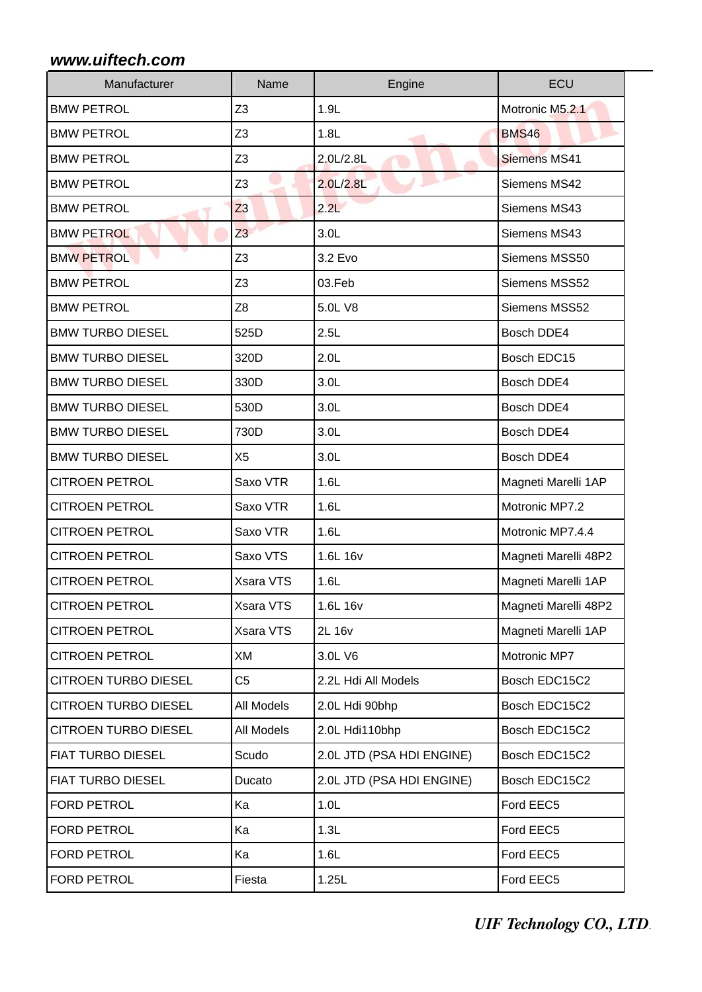| Manufacturer                      | Name           | Engine                    | ECU                  |
|-----------------------------------|----------------|---------------------------|----------------------|
| <b>BMW PETROL</b>                 | Z <sub>3</sub> | 1.9L                      | Motronic M5.2.1      |
| <b>BMW PETROL</b>                 | Z <sub>3</sub> | 1.8L                      | <b>BMS46</b>         |
| <b>BMW PETROL</b>                 | Z <sub>3</sub> | 2.0L/2.8L                 | <b>Siemens MS41</b>  |
| <b>BMW PETROL</b>                 | Z <sub>3</sub> | 2.0L/2.8L                 | Siemens MS42         |
| <b>BMW PETROL</b><br><b>START</b> | Z <sub>3</sub> | 2.2L                      | Siemens MS43         |
| <b>BMW PETROL</b>                 | Z <sub>3</sub> | 3.0 <sub>L</sub>          | Siemens MS43         |
| <b>BMW PETROL</b>                 | Z <sub>3</sub> | 3.2 Evo                   | Siemens MSS50        |
| <b>BMW PETROL</b>                 | Z <sub>3</sub> | 03.Feb                    | Siemens MSS52        |
| <b>BMW PETROL</b>                 | Z <sub>8</sub> | 5.0L V8                   | Siemens MSS52        |
| <b>BMW TURBO DIESEL</b>           | 525D           | 2.5L                      | Bosch DDE4           |
| <b>BMW TURBO DIESEL</b>           | 320D           | 2.0 <sub>L</sub>          | Bosch EDC15          |
| <b>BMW TURBO DIESEL</b>           | 330D           | 3.0 <sub>L</sub>          | Bosch DDE4           |
| <b>BMW TURBO DIESEL</b>           | 530D           | 3.0 <sub>L</sub>          | Bosch DDE4           |
| <b>BMW TURBO DIESEL</b>           | 730D           | 3.0 <sub>L</sub>          | Bosch DDE4           |
| <b>BMW TURBO DIESEL</b>           | X <sub>5</sub> | 3.0 <sub>L</sub>          | Bosch DDE4           |
| <b>CITROEN PETROL</b>             | Saxo VTR       | 1.6L                      | Magneti Marelli 1AP  |
| <b>CITROEN PETROL</b>             | Saxo VTR       | 1.6L                      | Motronic MP7.2       |
| <b>CITROEN PETROL</b>             | Saxo VTR       | 1.6L                      | Motronic MP7.4.4     |
| <b>CITROEN PETROL</b>             | Saxo VTS       | 1.6L 16v                  | Magneti Marelli 48P2 |
| <b>CITROEN PETROL</b>             | Xsara VTS      | 1.6L                      | Magneti Marelli 1AP  |
| <b>CITROEN PETROL</b>             | Xsara VTS      | 1.6L 16v                  | Magneti Marelli 48P2 |
| <b>CITROEN PETROL</b>             | Xsara VTS      | 2L 16v                    | Magneti Marelli 1AP  |
| <b>CITROEN PETROL</b>             | XM             | 3.0L V6                   | Motronic MP7         |
| <b>CITROEN TURBO DIESEL</b>       | C <sub>5</sub> | 2.2L Hdi All Models       | Bosch EDC15C2        |
| <b>CITROEN TURBO DIESEL</b>       | All Models     | 2.0L Hdi 90bhp            | Bosch EDC15C2        |
| <b>CITROEN TURBO DIESEL</b>       | All Models     | 2.0L Hdi110bhp            | Bosch EDC15C2        |
| <b>FIAT TURBO DIESEL</b>          | Scudo          | 2.0L JTD (PSA HDI ENGINE) | Bosch EDC15C2        |
| <b>FIAT TURBO DIESEL</b>          | Ducato         | 2.0L JTD (PSA HDI ENGINE) | Bosch EDC15C2        |
| FORD PETROL                       | Ka             | 1.0 <sub>L</sub>          | Ford EEC5            |
| <b>FORD PETROL</b>                | Ka             | 1.3L                      | Ford EEC5            |
| <b>FORD PETROL</b>                | Ka             | 1.6L                      | Ford EEC5            |
| FORD PETROL                       | Fiesta         | 1.25L                     | Ford EEC5            |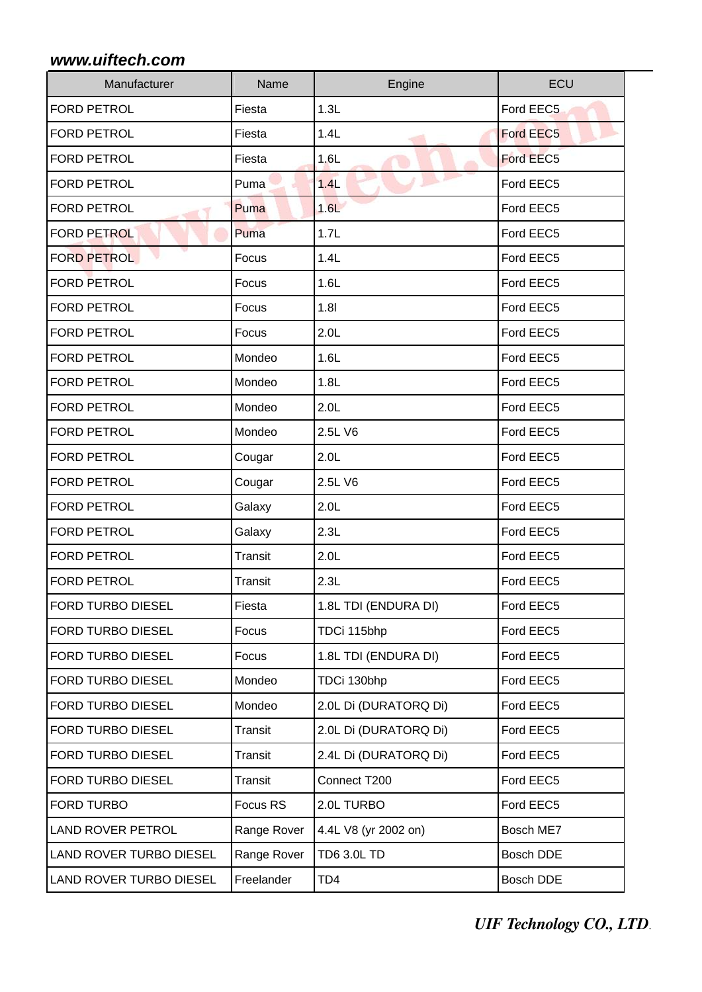| Manufacturer                   | Name           | Engine                | ECU       |
|--------------------------------|----------------|-----------------------|-----------|
| <b>FORD PETROL</b>             | Fiesta         | 1.3L                  | Ford EEC5 |
| FORD PETROL                    | Fiesta         | 1.4L                  | Ford EEC5 |
| <b>FORD PETROL</b>             | Fiesta         | 1.6L                  | Ford EEC5 |
| <b>FORD PETROL</b>             | Puma           | 1.4L                  | Ford EEC5 |
| <b>FORD PETROL</b>             | Puma           | 1.6L                  | Ford EEC5 |
| <b>FORD PETROL</b>             | Puma           | 1.7L                  | Ford EEC5 |
| <b>FORD PETROL</b>             | Focus          | 1.4L                  | Ford EEC5 |
| <b>FORD PETROL</b>             | Focus          | 1.6L                  | Ford EEC5 |
| <b>FORD PETROL</b>             | Focus          | 1.81                  | Ford EEC5 |
| <b>FORD PETROL</b>             | Focus          | 2.0L                  | Ford EEC5 |
| <b>FORD PETROL</b>             | Mondeo         | 1.6L                  | Ford EEC5 |
| <b>FORD PETROL</b>             | Mondeo         | 1.8L                  | Ford EEC5 |
| <b>FORD PETROL</b>             | Mondeo         | 2.0 <sub>L</sub>      | Ford EEC5 |
| <b>FORD PETROL</b>             | Mondeo         | 2.5L V6               | Ford EEC5 |
| <b>FORD PETROL</b>             | Cougar         | 2.0 <sub>L</sub>      | Ford EEC5 |
| <b>FORD PETROL</b>             | Cougar         | 2.5L V6               | Ford EEC5 |
| <b>FORD PETROL</b>             | Galaxy         | 2.0 <sub>L</sub>      | Ford EEC5 |
| <b>FORD PETROL</b>             | Galaxy         | 2.3L                  | Ford EEC5 |
| <b>FORD PETROL</b>             | <b>Transit</b> | 2.0 <sub>L</sub>      | Ford EEC5 |
| <b>FORD PETROL</b>             | <b>Transit</b> | 2.3L                  | Ford EEC5 |
| FORD TURBO DIESEL              | Fiesta         | 1.8L TDI (ENDURA DI)  | Ford EEC5 |
| FORD TURBO DIESEL              | Focus          | TDCi 115bhp           | Ford EEC5 |
| FORD TURBO DIESEL              | Focus          | 1.8L TDI (ENDURA DI)  | Ford EEC5 |
| FORD TURBO DIESEL              | Mondeo         | TDCi 130bhp           | Ford EEC5 |
| FORD TURBO DIESEL              | Mondeo         | 2.0L Di (DURATORQ Di) | Ford EEC5 |
| FORD TURBO DIESEL              | Transit        | 2.0L Di (DURATORQ Di) | Ford EEC5 |
| FORD TURBO DIESEL              | Transit        | 2.4L Di (DURATORQ Di) | Ford EEC5 |
| FORD TURBO DIESEL              | Transit        | Connect T200          | Ford EEC5 |
| FORD TURBO                     | Focus RS       | 2.0L TURBO            | Ford EEC5 |
| <b>LAND ROVER PETROL</b>       | Range Rover    | 4.4L V8 (yr 2002 on)  | Bosch ME7 |
| <b>LAND ROVER TURBO DIESEL</b> | Range Rover    | <b>TD6 3.0L TD</b>    | Bosch DDE |
| LAND ROVER TURBO DIESEL        | Freelander     | TD4                   | Bosch DDE |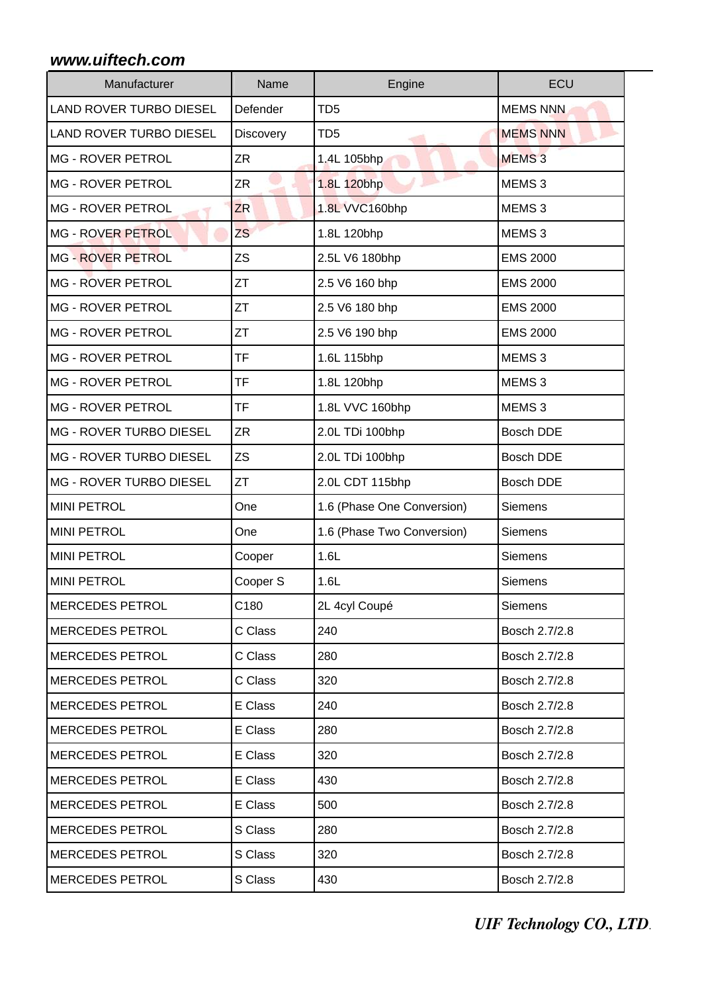| Manufacturer                   | Name      | Engine                     | ECU               |
|--------------------------------|-----------|----------------------------|-------------------|
| LAND ROVER TURBO DIESEL        | Defender  | TD <sub>5</sub>            | <b>MEMS NNN</b>   |
| <b>LAND ROVER TURBO DIESEL</b> | Discovery | TD <sub>5</sub>            | <b>MEMS NNN</b>   |
| <b>MG - ROVER PETROL</b>       | ZR        | 1.4L 105bhp                | <b>MEMS3</b>      |
| <b>MG - ROVER PETROL</b>       | ZR        | 1.8L 120bhp                | MEMS <sub>3</sub> |
| <b>MG - ROVER PETROL</b>       | <b>ZR</b> | 1.8L VVC160bhp             | MEMS <sub>3</sub> |
| <b>MG - ROVER PETROL</b>       | <b>ZS</b> | 1.8L 120bhp                | MEMS <sub>3</sub> |
| <b>MG - ROVER PETROL</b>       | <b>ZS</b> | 2.5L V6 180bhp             | <b>EMS 2000</b>   |
| <b>MG - ROVER PETROL</b>       | ZT        | 2.5 V6 160 bhp             | <b>EMS 2000</b>   |
| <b>MG - ROVER PETROL</b>       | <b>ZT</b> | 2.5 V6 180 bhp             | <b>EMS 2000</b>   |
| <b>MG - ROVER PETROL</b>       | <b>ZT</b> | 2.5 V6 190 bhp             | <b>EMS 2000</b>   |
| <b>MG - ROVER PETROL</b>       | <b>TF</b> | 1.6L 115bhp                | MEMS <sub>3</sub> |
| <b>MG - ROVER PETROL</b>       | <b>TF</b> | 1.8L 120bhp                | MEMS <sub>3</sub> |
| <b>MG - ROVER PETROL</b>       | <b>TF</b> | 1.8L VVC 160bhp            | MEMS <sub>3</sub> |
| MG - ROVER TURBO DIESEL        | <b>ZR</b> | 2.0L TDi 100bhp            | <b>Bosch DDE</b>  |
| MG - ROVER TURBO DIESEL        | <b>ZS</b> | 2.0L TDi 100bhp            | <b>Bosch DDE</b>  |
| MG - ROVER TURBO DIESEL        | ZT        | 2.0L CDT 115bhp            | <b>Bosch DDE</b>  |
| <b>MINI PETROL</b>             | One       | 1.6 (Phase One Conversion) | Siemens           |
| <b>MINI PETROL</b>             | One       | 1.6 (Phase Two Conversion) | Siemens           |
| <b>MINI PETROL</b>             | Cooper    | 1.6L                       | Siemens           |
| <b>MINI PETROL</b>             | Cooper S  | 1.6L                       | Siemens           |
| <b>MERCEDES PETROL</b>         | C180      | 2L 4cyl Coupé              | <b>Siemens</b>    |
| <b>MERCEDES PETROL</b>         | C Class   | 240                        | Bosch 2.7/2.8     |
| <b>MERCEDES PETROL</b>         | C Class   | 280                        | Bosch 2.7/2.8     |
| <b>MERCEDES PETROL</b>         | C Class   | 320                        | Bosch 2.7/2.8     |
| <b>MERCEDES PETROL</b>         | E Class   | 240                        | Bosch 2.7/2.8     |
| <b>MERCEDES PETROL</b>         | E Class   | 280                        | Bosch 2.7/2.8     |
| <b>MERCEDES PETROL</b>         | E Class   | 320                        | Bosch 2.7/2.8     |
| <b>MERCEDES PETROL</b>         | E Class   | 430                        | Bosch 2.7/2.8     |
| <b>MERCEDES PETROL</b>         | E Class   | 500                        | Bosch 2.7/2.8     |
| <b>MERCEDES PETROL</b>         | S Class   | 280                        | Bosch 2.7/2.8     |
| <b>MERCEDES PETROL</b>         | S Class   | 320                        | Bosch 2.7/2.8     |
| <b>MERCEDES PETROL</b>         | S Class   | 430                        | Bosch 2.7/2.8     |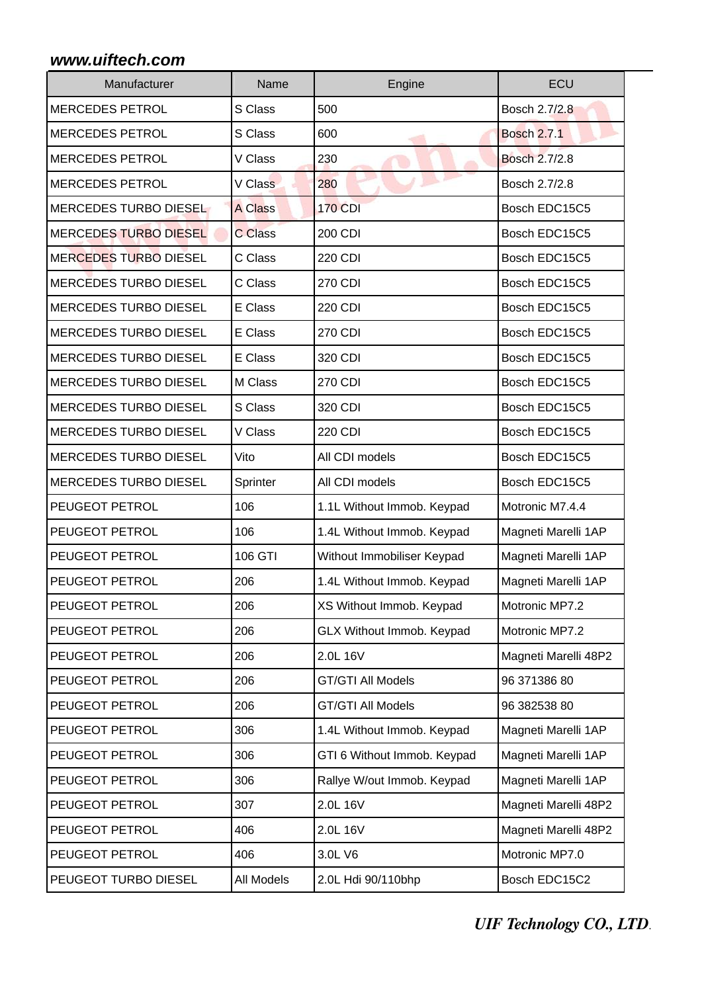| Manufacturer                 | Name           | Engine                      | ECU                  |
|------------------------------|----------------|-----------------------------|----------------------|
| <b>MERCEDES PETROL</b>       | S Class        | 500                         | Bosch 2.7/2.8        |
| <b>MERCEDES PETROL</b>       | S Class        | 600                         | <b>Bosch 2.7.1</b>   |
| <b>MERCEDES PETROL</b>       | V Class        | 230                         | <b>Bosch 2.7/2.8</b> |
| <b>MERCEDES PETROL</b>       | V Class        | 280                         | Bosch 2.7/2.8        |
| MERCEDES TURBO DIESEL        | <b>A Class</b> | <b>170 CDI</b>              | Bosch EDC15C5        |
| MERCEDES TURBO DIESEL        | C Class        | 200 CDI                     | Bosch EDC15C5        |
| <b>MERCEDES TURBO DIESEL</b> | C Class        | <b>220 CDI</b>              | Bosch EDC15C5        |
| <b>MERCEDES TURBO DIESEL</b> | C Class        | <b>270 CDI</b>              | Bosch EDC15C5        |
| <b>MERCEDES TURBO DIESEL</b> | E Class        | <b>220 CDI</b>              | Bosch EDC15C5        |
| <b>MERCEDES TURBO DIESEL</b> | E Class        | <b>270 CDI</b>              | Bosch EDC15C5        |
| <b>MERCEDES TURBO DIESEL</b> | E Class        | 320 CDI                     | Bosch EDC15C5        |
| <b>MERCEDES TURBO DIESEL</b> | M Class        | <b>270 CDI</b>              | Bosch EDC15C5        |
| <b>MERCEDES TURBO DIESEL</b> | S Class        | 320 CDI                     | Bosch EDC15C5        |
| <b>MERCEDES TURBO DIESEL</b> | V Class        | <b>220 CDI</b>              | Bosch EDC15C5        |
| <b>MERCEDES TURBO DIESEL</b> | Vito           | All CDI models              | Bosch EDC15C5        |
| MERCEDES TURBO DIESEL        | Sprinter       | All CDI models              | Bosch EDC15C5        |
| <b>PEUGEOT PETROL</b>        | 106            | 1.1L Without Immob. Keypad  | Motronic M7.4.4      |
| PEUGEOT PETROL               | 106            | 1.4L Without Immob. Keypad  | Magneti Marelli 1AP  |
| <b>PEUGEOT PETROL</b>        | 106 GTI        | Without Immobiliser Keypad  | Magneti Marelli 1AP  |
| <b>PEUGEOT PETROL</b>        | 206            | 1.4L Without Immob. Keypad  | Magneti Marelli 1AP  |
| <b>PEUGEOT PETROL</b>        | 206            | XS Without Immob. Keypad    | Motronic MP7.2       |
| <b>PEUGEOT PETROL</b>        | 206            | GLX Without Immob. Keypad   | Motronic MP7.2       |
| <b>PEUGEOT PETROL</b>        | 206            | 2.0L 16V                    | Magneti Marelli 48P2 |
| <b>PEUGEOT PETROL</b>        | 206            | <b>GT/GTI All Models</b>    | 96 371386 80         |
| <b>PEUGEOT PETROL</b>        | 206            | <b>GT/GTI All Models</b>    | 96 382538 80         |
| <b>PEUGEOT PETROL</b>        | 306            | 1.4L Without Immob. Keypad  | Magneti Marelli 1AP  |
| <b>PEUGEOT PETROL</b>        | 306            | GTI 6 Without Immob. Keypad | Magneti Marelli 1AP  |
| <b>PEUGEOT PETROL</b>        | 306            | Rallye W/out Immob. Keypad  | Magneti Marelli 1AP  |
| <b>PEUGEOT PETROL</b>        | 307            | 2.0L 16V                    | Magneti Marelli 48P2 |
| <b>PEUGEOT PETROL</b>        | 406            | 2.0L 16V                    | Magneti Marelli 48P2 |
| <b>PEUGEOT PETROL</b>        | 406            | 3.0L V6                     | Motronic MP7.0       |
| PEUGEOT TURBO DIESEL         | All Models     | 2.0L Hdi 90/110bhp          | Bosch EDC15C2        |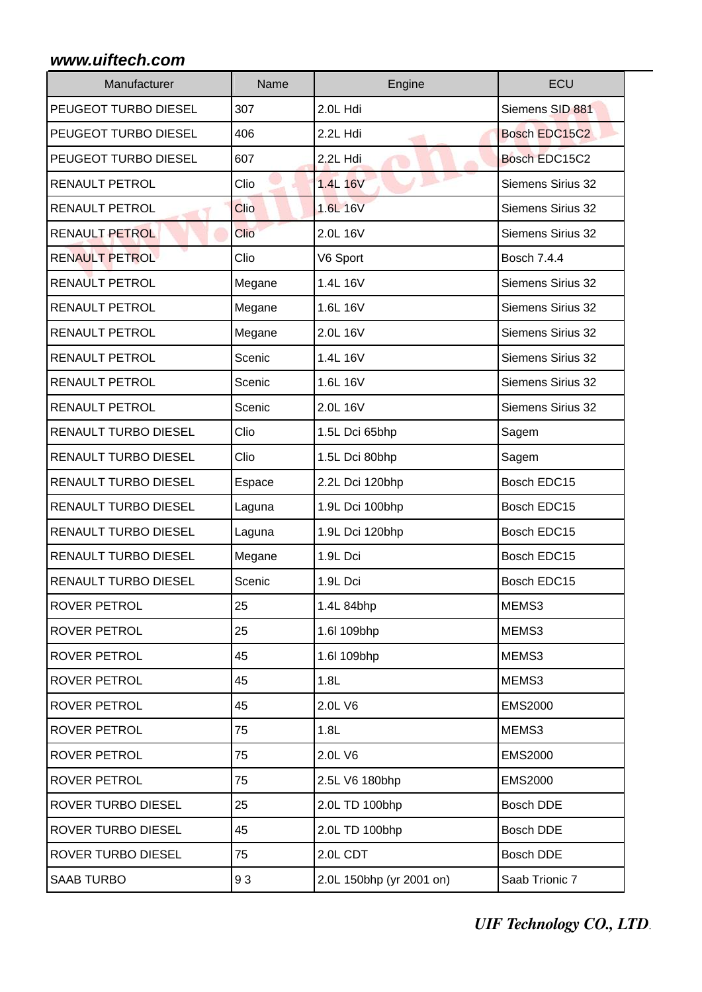| Manufacturer                | Name        | Engine                   | ECU                      |
|-----------------------------|-------------|--------------------------|--------------------------|
| PEUGEOT TURBO DIESEL        | 307         | 2.0L Hdi                 | Siemens SID 881          |
| PEUGEOT TURBO DIESEL        | 406         | 2.2L Hdi                 | Bosch EDC15C2            |
| <b>PEUGEOT TURBO DIESEL</b> | 607         | 2.2L Hdi                 | Bosch EDC15C2            |
| <b>RENAULT PETROL</b>       | Clio        | 1.4L 16V                 | <b>Siemens Sirius 32</b> |
| <b>RENAULT PETROL</b>       | Clio        | 1.6L 16V                 | <b>Siemens Sirius 32</b> |
| <b>RENAULT PETROL</b>       | <b>Clio</b> | 2.0L 16V                 | Siemens Sirius 32        |
| <b>RENAULT PETROL</b>       | Clio        | V6 Sport                 | Bosch 7.4.4              |
| <b>RENAULT PETROL</b>       | Megane      | 1.4L 16V                 | <b>Siemens Sirius 32</b> |
| <b>RENAULT PETROL</b>       | Megane      | 1.6L 16V                 | <b>Siemens Sirius 32</b> |
| <b>RENAULT PETROL</b>       | Megane      | 2.0L 16V                 | Siemens Sirius 32        |
| <b>RENAULT PETROL</b>       | Scenic      | 1.4L 16V                 | <b>Siemens Sirius 32</b> |
| <b>RENAULT PETROL</b>       | Scenic      | 1.6L 16V                 | <b>Siemens Sirius 32</b> |
| <b>RENAULT PETROL</b>       | Scenic      | 2.0L 16V                 | Siemens Sirius 32        |
| <b>RENAULT TURBO DIESEL</b> | Clio        | 1.5L Dci 65bhp           | Sagem                    |
| <b>RENAULT TURBO DIESEL</b> | Clio        | 1.5L Dci 80bhp           | Sagem                    |
| <b>RENAULT TURBO DIESEL</b> | Espace      | 2.2L Dci 120bhp          | Bosch EDC15              |
| <b>RENAULT TURBO DIESEL</b> | Laguna      | 1.9L Dci 100bhp          | Bosch EDC15              |
| <b>RENAULT TURBO DIESEL</b> | Laguna      | 1.9L Dci 120bhp          | Bosch EDC15              |
| <b>RENAULT TURBO DIESEL</b> | Megane      | 1.9L Dci                 | Bosch EDC15              |
| <b>RENAULT TURBO DIESEL</b> | Scenic      | 1.9L Dci                 | Bosch EDC15              |
| <b>ROVER PETROL</b>         | 25          | 1.4L 84bhp               | MEMS3                    |
| <b>ROVER PETROL</b>         | 25          | 1.6l 109bhp              | MEMS3                    |
| <b>ROVER PETROL</b>         | 45          | 1.6l 109bhp              | MEMS3                    |
| <b>ROVER PETROL</b>         | 45          | 1.8L                     | MEMS3                    |
| <b>ROVER PETROL</b>         | 45          | 2.0L V6                  | <b>EMS2000</b>           |
| <b>ROVER PETROL</b>         | 75          | 1.8L                     | MEMS3                    |
| <b>ROVER PETROL</b>         | 75          | 2.0L V6                  | <b>EMS2000</b>           |
| <b>ROVER PETROL</b>         | 75          | 2.5L V6 180bhp           | <b>EMS2000</b>           |
| <b>ROVER TURBO DIESEL</b>   | 25          | 2.0L TD 100bhp           | Bosch DDE                |
| <b>ROVER TURBO DIESEL</b>   | 45          | 2.0L TD 100bhp           | Bosch DDE                |
| <b>ROVER TURBO DIESEL</b>   | 75          | 2.0L CDT                 | Bosch DDE                |
| <b>SAAB TURBO</b>           | 93          | 2.0L 150bhp (yr 2001 on) | Saab Trionic 7           |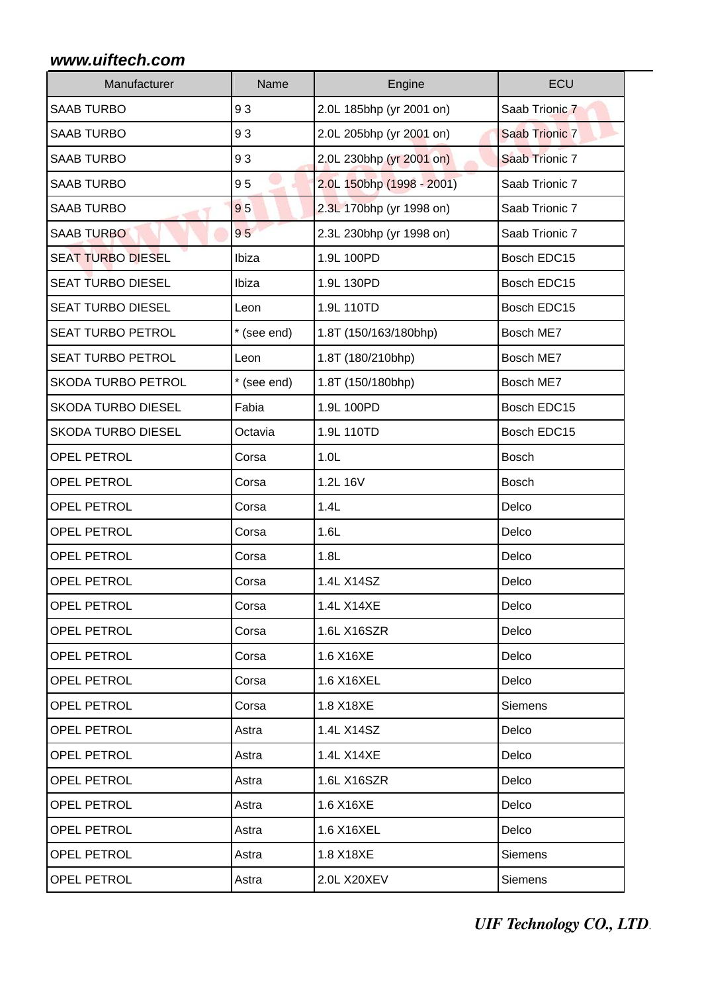| Manufacturer              | Name        | Engine                    | ECU                   |
|---------------------------|-------------|---------------------------|-----------------------|
| <b>SAAB TURBO</b>         | 93          | 2.0L 185bhp (yr 2001 on)  | Saab Trionic 7        |
| <b>SAAB TURBO</b>         | 93          | 2.0L 205bhp (yr 2001 on)  | <b>Saab Trionic 7</b> |
| <b>SAAB TURBO</b>         | 93          | 2.0L 230bhp (yr 2001 on)  | Saab Trionic 7        |
| <b>SAAB TURBO</b>         | 95          | 2.0L 150bhp (1998 - 2001) | Saab Trionic 7        |
| <b>SAAB TURBO</b>         | 95          | 2.3L 170bhp (yr 1998 on)  | Saab Trionic 7        |
| <b>SAAB TURBO</b>         | 95          | 2.3L 230bhp (yr 1998 on)  | Saab Trionic 7        |
| <b>SEAT TURBO DIESEL</b>  | Ibiza       | 1.9L 100PD                | Bosch EDC15           |
| <b>SEAT TURBO DIESEL</b>  | Ibiza       | 1.9L 130PD                | Bosch EDC15           |
| <b>SEAT TURBO DIESEL</b>  | Leon        | 1.9L 110TD                | Bosch EDC15           |
| <b>SEAT TURBO PETROL</b>  | * (see end) | 1.8T (150/163/180bhp)     | Bosch ME7             |
| <b>SEAT TURBO PETROL</b>  | Leon        | 1.8T (180/210bhp)         | Bosch ME7             |
| <b>SKODA TURBO PETROL</b> | * (see end) | 1.8T (150/180bhp)         | Bosch ME7             |
| <b>SKODA TURBO DIESEL</b> | Fabia       | 1.9L 100PD                | Bosch EDC15           |
| <b>SKODA TURBO DIESEL</b> | Octavia     | 1.9L 110TD                | Bosch EDC15           |
| <b>OPEL PETROL</b>        | Corsa       | 1.0 <sub>L</sub>          | <b>Bosch</b>          |
| <b>OPEL PETROL</b>        | Corsa       | 1.2L 16V                  | <b>Bosch</b>          |
| <b>OPEL PETROL</b>        | Corsa       | 1.4L                      | Delco                 |
| <b>OPEL PETROL</b>        | Corsa       | 1.6L                      | Delco                 |
| <b>OPEL PETROL</b>        | Corsa       | 1.8L                      | Delco                 |
| <b>OPEL PETROL</b>        | Corsa       | 1.4L X14SZ                | Delco                 |
| <b>OPEL PETROL</b>        | Corsa       | 1.4L X14XE                | Delco                 |
| <b>OPEL PETROL</b>        | Corsa       | 1.6L X16SZR               | Delco                 |
| <b>OPEL PETROL</b>        | Corsa       | 1.6 X16XE                 | Delco                 |
| <b>OPEL PETROL</b>        | Corsa       | 1.6 X16XEL                | Delco                 |
| <b>OPEL PETROL</b>        | Corsa       | 1.8 X18XE                 | <b>Siemens</b>        |
| <b>OPEL PETROL</b>        | Astra       | 1.4L X14SZ                | Delco                 |
| <b>OPEL PETROL</b>        | Astra       | 1.4L X14XE                | Delco                 |
| <b>OPEL PETROL</b>        | Astra       | 1.6L X16SZR               | Delco                 |
| <b>OPEL PETROL</b>        | Astra       | 1.6 X16XE                 | Delco                 |
| OPEL PETROL               | Astra       | 1.6 X16XEL                | Delco                 |
| <b>OPEL PETROL</b>        | Astra       | 1.8 X18XE                 | <b>Siemens</b>        |
| <b>OPEL PETROL</b>        | Astra       | 2.0L X20XEV               | Siemens               |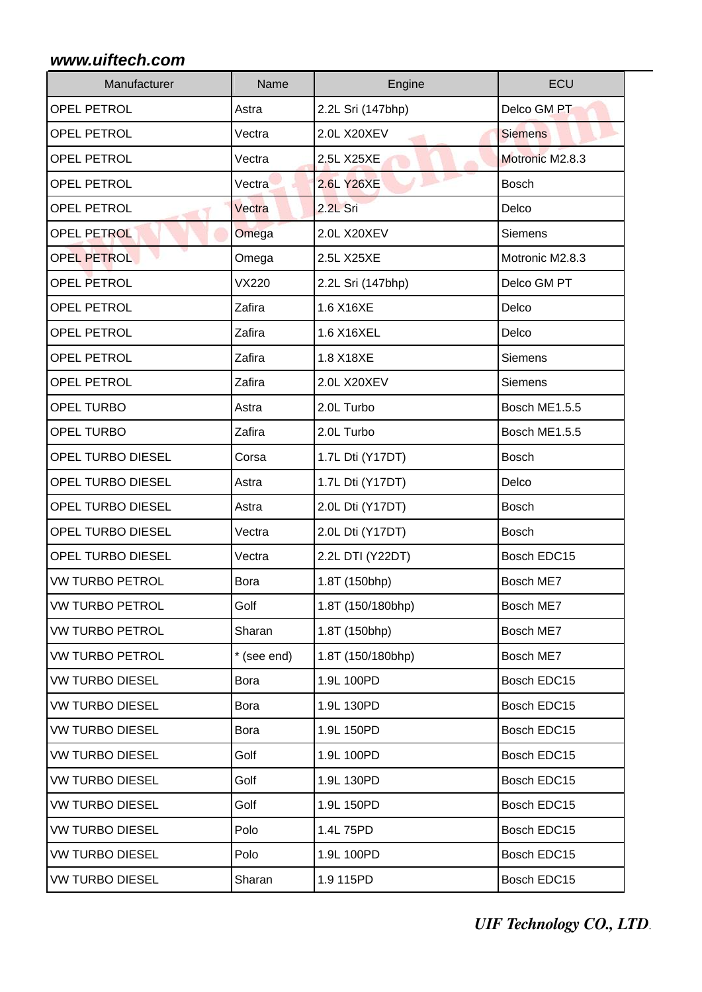| Manufacturer           | Name         | Engine            | ECU             |
|------------------------|--------------|-------------------|-----------------|
| <b>OPEL PETROL</b>     | Astra        | 2.2L Sri (147bhp) | Delco GM PT     |
| <b>OPEL PETROL</b>     | Vectra       | 2.0L X20XEV       | <b>Siemens</b>  |
| <b>OPEL PETROL</b>     | Vectra       | 2.5L X25XE        | Motronic M2.8.3 |
| <b>OPEL PETROL</b>     | Vectra       | <b>2.6L Y26XE</b> | <b>Bosch</b>    |
| <b>OPEL PETROL</b>     | Vectra       | 2.2L Sri          | Delco           |
| <b>OPEL PETROL</b>     | Omega        | 2.0L X20XEV       | Siemens         |
| <b>OPEL PETROL</b>     | Omega        | 2.5L X25XE        | Motronic M2.8.3 |
| <b>OPEL PETROL</b>     | <b>VX220</b> | 2.2L Sri (147bhp) | Delco GM PT     |
| <b>OPEL PETROL</b>     | Zafira       | 1.6 X16XE         | Delco           |
| <b>OPEL PETROL</b>     | Zafira       | 1.6 X16XEL        | Delco           |
| <b>OPEL PETROL</b>     | Zafira       | 1.8 X18XE         | Siemens         |
| <b>OPEL PETROL</b>     | Zafira       | 2.0L X20XEV       | <b>Siemens</b>  |
| <b>OPEL TURBO</b>      | Astra        | 2.0L Turbo        | Bosch ME1.5.5   |
| <b>OPEL TURBO</b>      | Zafira       | 2.0L Turbo        | Bosch ME1.5.5   |
| OPEL TURBO DIESEL      | Corsa        | 1.7L Dti (Y17DT)  | <b>Bosch</b>    |
| OPEL TURBO DIESEL      | Astra        | 1.7L Dti (Y17DT)  | Delco           |
| OPEL TURBO DIESEL      | Astra        | 2.0L Dti (Y17DT)  | <b>Bosch</b>    |
| OPEL TURBO DIESEL      | Vectra       | 2.0L Dti (Y17DT)  | <b>Bosch</b>    |
| OPEL TURBO DIESEL      | Vectra       | 2.2L DTI (Y22DT)  | Bosch EDC15     |
| <b>VW TURBO PETROL</b> | Bora         | 1.8T (150bhp)     | Bosch ME7       |
| <b>VW TURBO PETROL</b> | Golf         | 1.8T (150/180bhp) | Bosch ME7       |
| <b>VW TURBO PETROL</b> | Sharan       | 1.8T (150bhp)     | Bosch ME7       |
| <b>VW TURBO PETROL</b> | * (see end)  | 1.8T (150/180bhp) | Bosch ME7       |
| <b>VW TURBO DIESEL</b> | Bora         | 1.9L 100PD        | Bosch EDC15     |
| <b>VW TURBO DIESEL</b> | Bora         | 1.9L 130PD        | Bosch EDC15     |
| <b>VW TURBO DIESEL</b> | Bora         | 1.9L 150PD        | Bosch EDC15     |
| <b>VW TURBO DIESEL</b> | Golf         | 1.9L 100PD        | Bosch EDC15     |
| <b>VW TURBO DIESEL</b> | Golf         | 1.9L 130PD        | Bosch EDC15     |
| <b>VW TURBO DIESEL</b> | Golf         | 1.9L 150PD        | Bosch EDC15     |
| <b>VW TURBO DIESEL</b> | Polo         | 1.4L75PD          | Bosch EDC15     |
| <b>VW TURBO DIESEL</b> | Polo         | 1.9L 100PD        | Bosch EDC15     |
| <b>VW TURBO DIESEL</b> | Sharan       | 1.9 115PD         | Bosch EDC15     |